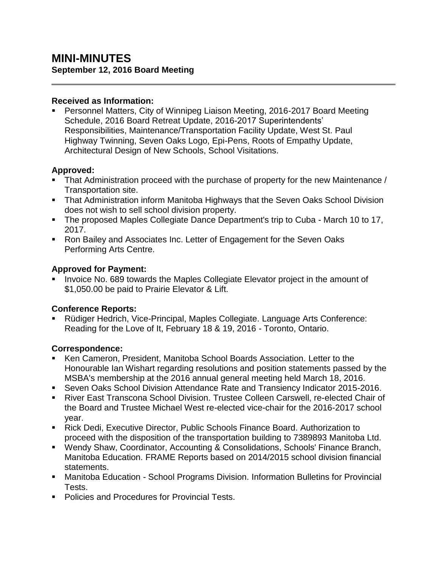#### **Received as Information:**

 Personnel Matters, City of Winnipeg Liaison Meeting, 2016-2017 Board Meeting Schedule, 2016 Board Retreat Update, 2016-2017 Superintendents' Responsibilities, Maintenance/Transportation Facility Update, West St. Paul Highway Twinning, Seven Oaks Logo, Epi-Pens, Roots of Empathy Update, Architectural Design of New Schools, School Visitations.

### **Approved:**

- That Administration proceed with the purchase of property for the new Maintenance / Transportation site.
- That Administration inform Manitoba Highways that the Seven Oaks School Division does not wish to sell school division property.
- The proposed Maples Collegiate Dance Department's trip to Cuba March 10 to 17, 2017.
- Ron Bailey and Associates Inc. Letter of Engagement for the Seven Oaks Performing Arts Centre.

## **Approved for Payment:**

 Invoice No. 689 towards the Maples Collegiate Elevator project in the amount of \$1,050.00 be paid to Prairie Elevator & Lift.

### **Conference Reports:**

 Rüdiger Hedrich, Vice-Principal, Maples Collegiate. Language Arts Conference: Reading for the Love of It, February 18 & 19, 2016 - Toronto, Ontario.

# **Correspondence:**

- Ken Cameron, President, Manitoba School Boards Association. Letter to the Honourable Ian Wishart regarding resolutions and position statements passed by the MSBA's membership at the 2016 annual general meeting held March 18, 2016.
- Seven Oaks School Division Attendance Rate and Transiency Indicator 2015-2016.
- River East Transcona School Division. Trustee Colleen Carswell, re-elected Chair of the Board and Trustee Michael West re-elected vice-chair for the 2016-2017 school year.
- Rick Dedi, Executive Director, Public Schools Finance Board. Authorization to proceed with the disposition of the transportation building to 7389893 Manitoba Ltd.
- Wendy Shaw, Coordinator, Accounting & Consolidations, Schools' Finance Branch, Manitoba Education. FRAME Reports based on 2014/2015 school division financial statements.
- Manitoba Education School Programs Division. Information Bulletins for Provincial Tests.
- Policies and Procedures for Provincial Tests.